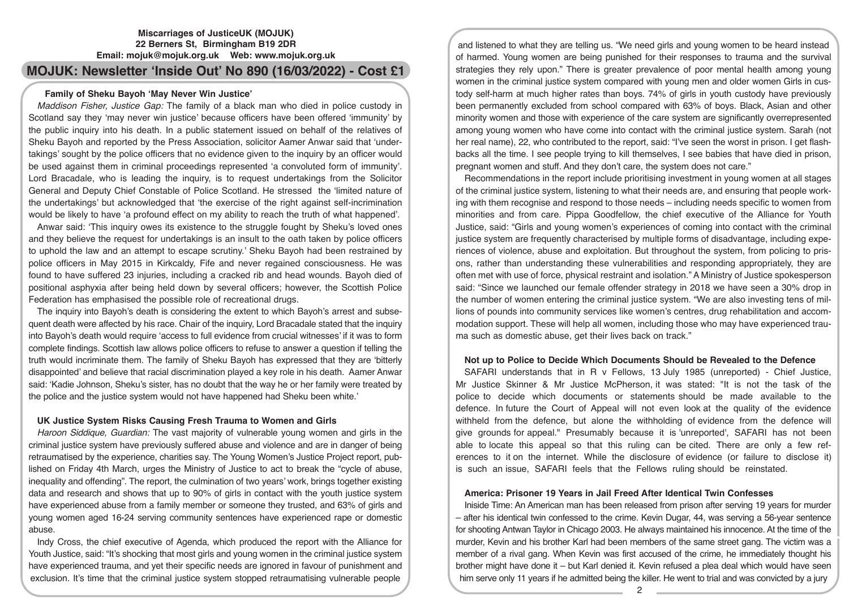## **Miscarriages of JusticeUK (MOJUK) 22 Berners St, Birmingham B19 2DR Email: mojuk@mojuk.org.uk Web: www.mojuk.org.uk**

# **MOJUK: Newsletter 'Inside Out' No 890 (16/03/2022) - Cost £1**

## **Family of Sheku Bayoh 'May Never Win Justice'**

*Maddison Fisher, Justice Gap:* The family of a black man who died in police custody in Scotland say they 'may never win justice' because officers have been offered 'immunity' by the public inquiry into his death. In a public statement issued on behalf of the relatives of Sheku Bayoh and reported by the Press Association, solicitor Aamer Anwar said that 'undertakings' sought by the police officers that no evidence given to the inquiry by an officer would be used against them in criminal proceedings represented 'a convoluted form of immunity'. Lord Bracadale, who is leading the inquiry, is to request undertakings from the Solicitor General and Deputy Chief Constable of Police Scotland. He stressed the 'limited nature of the undertakings' but acknowledged that 'the exercise of the right against self-incrimination would be likely to have 'a profound effect on my ability to reach the truth of what happened'.

Anwar said: 'This inquiry owes its existence to the struggle fought by Sheku's loved ones and they believe the request for undertakings is an insult to the oath taken by police officers to uphold the law and an attempt to escape scrutiny.' Sheku Bayoh had been restrained by police officers in May 2015 in Kirkcaldy, Fife and never regained consciousness. He was found to have suffered 23 injuries, including a cracked rib and head wounds. Bayoh died of positional asphyxia after being held down by several officers; however, the Scottish Police Federation has emphasised the possible role of recreational drugs.

The inquiry into Bayoh's death is considering the extent to which Bayoh's arrest and subsequent death were affected by his race. Chair of the inquiry, Lord Bracadale stated that the inquiry into Bayoh's death would require 'access to full evidence from crucial witnesses' if it was to form complete findings. Scottish law allows police officers to refuse to answer a question if telling the truth would incriminate them. The family of Sheku Bayoh has expressed that they are 'bitterly disappointed' and believe that racial discrimination played a key role in his death. Aamer Anwar said: 'Kadie Johnson, Sheku's sister, has no doubt that the way he or her family were treated by the police and the justice system would not have happened had Sheku been white.'

#### **UK Justice System Risks Causing Fresh Trauma to Women and Girls**

*Haroon Siddique, Guardian:* The vast majority of vulnerable young women and girls in the criminal justice system have previously suffered abuse and violence and are in danger of being retraumatised by the experience, charities say. The Young Women's Justice Project report, published on Friday 4th March, urges the Ministry of Justice to act to break the "cycle of abuse, inequality and offending". The report, the culmination of two years' work, brings together existing data and research and shows that up to 90% of girls in contact with the youth justice system have experienced abuse from a family member or someone they trusted, and 63% of girls and young women aged 16-24 serving community sentences have experienced rape or domestic abuse.

Indy Cross, the chief executive of Agenda, which produced the report with the Alliance for Youth Justice, said: "It's shocking that most girls and young women in the criminal justice system have experienced trauma, and yet their specific needs are ignored in favour of punishment and exclusion. It's time that the criminal justice system stopped retraumatising vulnerable people

and listened to what they are telling us. "We need girls and young women to be heard instead of harmed. Young women are being punished for their responses to trauma and the survival strategies they rely upon." There is greater prevalence of poor mental health among young women in the criminal justice system compared with young men and older women Girls in custody self-harm at much higher rates than boys. 74% of girls in youth custody have previously been permanently excluded from school compared with 63% of boys. Black, Asian and other minority women and those with experience of the care system are significantly overrepresented among young women who have come into contact with the criminal justice system. Sarah (not her real name), 22, who contributed to the report, said: "I've seen the worst in prison. I get flashbacks all the time. I see people trying to kill themselves, I see babies that have died in prison, pregnant women and stuff. And they don't care, the system does not care."

Recommendations in the report include prioritising investment in young women at all stages of the criminal justice system, listening to what their needs are, and ensuring that people working with them recognise and respond to those needs – including needs specific to women from minorities and from care. Pippa Goodfellow, the chief executive of the Alliance for Youth Justice, said: "Girls and young women's experiences of coming into contact with the criminal justice system are frequently characterised by multiple forms of disadvantage, including experiences of violence, abuse and exploitation. But throughout the system, from policing to prisons, rather than understanding these vulnerabilities and responding appropriately, they are often met with use of force, physical restraint and isolation." A Ministry of Justice spokesperson said: "Since we launched our female offender strategy in 2018 we have seen a 30% drop in the number of women entering the criminal justice system. "We are also investing tens of millions of pounds into community services like women's centres, drug rehabilitation and accommodation support. These will help all women, including those who may have experienced trauma such as domestic abuse, get their lives back on track."

## **Not up to Police to Decide Which Documents Should be Revealed to the Defence**

SAFARI understands that in R v Fellows, 13 July 1985 (unreported) - Chief Justice, Mr Justice Skinner & Mr Justice McPherson, it was stated: "It is not the task of the police to decide which documents or statements should be made available to the defence. In future the Court of Appeal will not even look at the quality of the evidence withheld from the defence, but alone the withholding of evidence from the defence will give grounds for appeal." Presumably because it is 'unreported', SAFARI has not been able to locate this appeal so that this ruling can be cited. There are only a few references to it on the internet. While the disclosure of evidence (or failure to disclose it) is such an issue, SAFARI feels that the Fellows ruling should be reinstated.

#### **America: Prisoner 19 Years in Jail Freed After Identical Twin Confesses**

Iniside Time: An American man has been released from prison after serving 19 years for murder – after his identical twin confessed to the crime. Kevin Dugar, 44, was serving a 56-year sentence for shooting Antwan Taylor in Chicago 2003. He always maintained his innocence. At the time of the murder, Kevin and his brother Karl had been members of the same street gang. The victim was a member of a rival gang. When Kevin was first accused of the crime, he immediately thought his brother might have done it – but Karl denied it. Kevin refused a plea deal which would have seen him serve only 11 years if he admitted being the killer. He went to trial and was convicted by a jury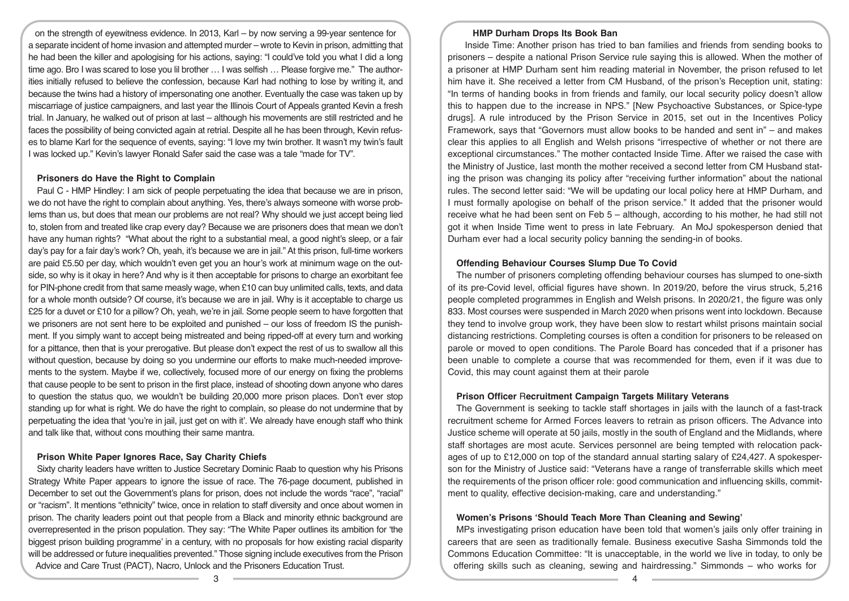on the strength of eyewitness evidence. In 2013, Karl – by now serving a 99-year sentence for a separate incident of home invasion and attempted murder – wrote to Kevin in prison, admitting that he had been the killer and apologising for his actions, saying: "I could've told you what I did a long time ago. Bro I was scared to lose you lil brother … I was selfish … Please forgive me." The authorities initially refused to believe the confession, because Karl had nothing to lose by writing it, and because the twins had a history of impersonating one another. Eventually the case was taken up by miscarriage of justice campaigners, and last year the Illinois Court of Appeals granted Kevin a fresh trial. In January, he walked out of prison at last – although his movements are still restricted and he faces the possibility of being convicted again at retrial. Despite all he has been through, Kevin refuses to blame Karl for the sequence of events, saying: "I love my twin brother. It wasn't my twin's fault I was locked up." Kevin's lawyer Ronald Safer said the case was a tale "made for TV".

### **Prisoners do Have the Right to Complain**

Paul C - HMP Hindley: I am sick of people perpetuating the idea that because we are in prison, we do not have the right to complain about anything. Yes, there's always someone with worse problems than us, but does that mean our problems are not real? Why should we just accept being lied to, stolen from and treated like crap every day? Because we are prisoners does that mean we don't have any human rights? "What about the right to a substantial meal, a good night's sleep, or a fair day's pay for a fair day's work? Oh, yeah, it's because we are in jail." At this prison, full-time workers are paid £5.50 per day, which wouldn't even get you an hour's work at minimum wage on the outside, so why is it okay in here? And why is it then acceptable for prisons to charge an exorbitant fee for PIN-phone credit from that same measly wage, when £10 can buy unlimited calls, texts, and data for a whole month outside? Of course, it's because we are in jail. Why is it acceptable to charge us £25 for a duvet or £10 for a pillow? Oh, yeah, we're in jail. Some people seem to have forgotten that we prisoners are not sent here to be exploited and punished – our loss of freedom IS the punishment. If you simply want to accept being mistreated and being ripped-off at every turn and working for a pittance, then that is your prerogative. But please don't expect the rest of us to swallow all this without question, because by doing so you undermine our efforts to make much-needed improvements to the system. Maybe if we, collectively, focused more of our energy on fixing the problems that cause people to be sent to prison in the first place, instead of shooting down anyone who dares to question the status quo, we wouldn't be building 20,000 more prison places. Don't ever stop standing up for what is right. We do have the right to complain, so please do not undermine that by perpetuating the idea that 'you're in jail, just get on with it'. We already have enough staff who think and talk like that, without cons mouthing their same mantra.

## **Prison White Paper Ignores Race, Say Charity Chiefs**

Sixty charity leaders have written to Justice Secretary Dominic Raab to question why his Prisons Strategy White Paper appears to ignore the issue of race. The 76-page document, published in December to set out the Government's plans for prison, does not include the words "race", "racial" or "racism". It mentions "ethnicity" twice, once in relation to staff diversity and once about women in prison. The charity leaders point out that people from a Black and minority ethnic background are overrepresented in the prison population. They say: "The White Paper outlines its ambition for 'the biggest prison building programme' in a century, with no proposals for how existing racial disparity will be addressed or future inequalities prevented." Those signing include executives from the Prison Advice and Care Trust (PACT), Nacro, Unlock and the Prisoners Education Trust.

#### **HMP Durham Drops Its Book Ban**

Inside Time: Another prison has tried to ban families and friends from sending books to prisoners – despite a national Prison Service rule saying this is allowed. When the mother of a prisoner at HMP Durham sent him reading material in November, the prison refused to let him have it. She received a letter from CM Husband, of the prison's Reception unit, stating: "In terms of handing books in from friends and family, our local security policy doesn't allow this to happen due to the increase in NPS." [New Psychoactive Substances, or Spice-type drugs]. A rule introduced by the Prison Service in 2015, set out in the Incentives Policy Framework, says that "Governors must allow books to be handed and sent in" – and makes clear this applies to all English and Welsh prisons "irrespective of whether or not there are exceptional circumstances." The mother contacted Inside Time. After we raised the case with the Ministry of Justice, last month the mother received a second letter from CM Husband stating the prison was changing its policy after "receiving further information" about the national rules. The second letter said: "We will be updating our local policy here at HMP Durham, and I must formally apologise on behalf of the prison service." It added that the prisoner would receive what he had been sent on Feb 5 – although, according to his mother, he had still not got it when Inside Time went to press in late February. An MoJ spokesperson denied that Durham ever had a local security policy banning the sending-in of books.

## **Offending Behaviour Courses Slump Due To Covid**

The number of prisoners completing offending behaviour courses has slumped to one-sixth of its pre-Covid level, official figures have shown. In 2019/20, before the virus struck, 5,216 people completed programmes in English and Welsh prisons. In 2020/21, the figure was only 833. Most courses were suspended in March 2020 when prisons went into lockdown. Because they tend to involve group work, they have been slow to restart whilst prisons maintain social distancing restrictions. Completing courses is often a condition for prisoners to be released on parole or moved to open conditions. The Parole Board has conceded that if a prisoner has been unable to complete a course that was recommended for them, even if it was due to Covid, this may count against them at their parole

## **Prison Officer** R**ecruitment Campaign Targets Military Veterans**

The Government is seeking to tackle staff shortages in jails with the launch of a fast-track recruitment scheme for Armed Forces leavers to retrain as prison officers. The Advance into Justice scheme will operate at 50 jails, mostly in the south of England and the Midlands, where staff shortages are most acute. Services personnel are being tempted with relocation packages of up to £12,000 on top of the standard annual starting salary of £24,427. A spokesperson for the Ministry of Justice said: "Veterans have a range of transferrable skills which meet the requirements of the prison officer role: good communication and influencing skills, commitment to quality, effective decision-making, care and understanding."

#### **Women's Prisons 'Should Teach More Than Cleaning and Sewing'**

MPs investigating prison education have been told that women's jails only offer training in careers that are seen as traditionally female. Business executive Sasha Simmonds told the Commons Education Committee: "It is unacceptable, in the world we live in today, to only be offering skills such as cleaning, sewing and hairdressing." Simmonds – who works for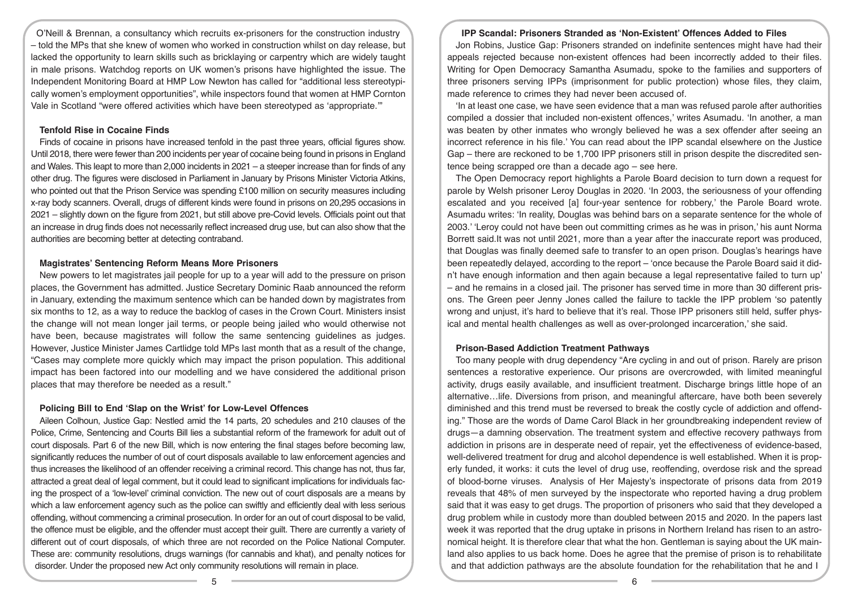O'Neill & Brennan, a consultancy which recruits ex-prisoners for the construction industry – told the MPs that she knew of women who worked in construction whilst on day release, but lacked the opportunity to learn skills such as bricklaying or carpentry which are widely taught in male prisons. Watchdog reports on UK women's prisons have highlighted the issue. The Independent Monitoring Board at HMP Low Newton has called for "additional less stereotypically women's employment opportunities", while inspectors found that women at HMP Cornton Vale in Scotland "were offered activities which have been stereotyped as 'appropriate.'"

#### **Tenfold Rise in Cocaine Finds**

Finds of cocaine in prisons have increased tenfold in the past three years, official figures show. Until 2018, there were fewer than 200 incidents per year of cocaine being found in prisons in England and Wales. This leapt to more than 2,000 incidents in 2021 – a steeper increase than for finds of any other drug. The figures were disclosed in Parliament in January by Prisons Minister Victoria Atkins, who pointed out that the Prison Service was spending £100 million on security measures including x-ray body scanners. Overall, drugs of different kinds were found in prisons on 20,295 occasions in 2021 – slightly down on the figure from 2021, but still above pre-Covid levels. Officials point out that an increase in drug finds does not necessarily reflect increased drug use, but can also show that the authorities are becoming better at detecting contraband.

#### **Magistrates' Sentencing Reform Means More Prisoners**

New powers to let magistrates jail people for up to a year will add to the pressure on prison places, the Government has admitted. Justice Secretary Dominic Raab announced the reform in January, extending the maximum sentence which can be handed down by magistrates from six months to 12, as a way to reduce the backlog of cases in the Crown Court. Ministers insist the change will not mean longer jail terms, or people being jailed who would otherwise not have been, because magistrates will follow the same sentencing guidelines as judges. However, Justice Minister James Cartlidge told MPs last month that as a result of the change, "Cases may complete more quickly which may impact the prison population. This additional impact has been factored into our modelling and we have considered the additional prison places that may therefore be needed as a result."

#### **Policing Bill to End 'Slap on the Wrist' for Low-Level Offences**

Aileen Colhoun, Justice Gap: Nestled amid the 14 parts, 20 schedules and 210 clauses of the Police, Crime, Sentencing and Courts Bill lies a substantial reform of the framework for adult out of court disposals. Part 6 of the new Bill, which is now entering the final stages before becoming law, significantly reduces the number of out of court disposals available to law enforcement agencies and thus increases the likelihood of an offender receiving a criminal record. This change has not, thus far, attracted a great deal of legal comment, but it could lead to significant implications for individuals facing the prospect of a 'low-level' criminal conviction. The new out of court disposals are a means by which a law enforcement agency such as the police can swiftly and efficiently deal with less serious offending, without commencing a criminal prosecution. In order for an out of court disposal to be valid, the offence must be eligible, and the offender must accept their guilt. There are currently a variety of different out of court disposals, of which three are not recorded on the Police National Computer. These are: community resolutions, drugs warnings (for cannabis and khat), and penalty notices for disorder. Under the proposed new Act only community resolutions will remain in place.

#### **IPP Scandal: Prisoners Stranded as 'Non-Existent' Offences Added to Files**

Jon Robins, Justice Gap: Prisoners stranded on indefinite sentences might have had their appeals rejected because non-existent offences had been incorrectly added to their files. Writing for Open Democracy Samantha Asumadu, spoke to the families and supporters of three prisoners serving IPPs (imprisonment for public protection) whose files, they claim, made reference to crimes they had never been accused of.

'In at least one case, we have seen evidence that a man was refused parole after authorities compiled a dossier that included non-existent offences,' writes Asumadu. 'In another, a man was beaten by other inmates who wrongly believed he was a sex offender after seeing an incorrect reference in his file.' You can read about the IPP scandal elsewhere on the Justice Gap – there are reckoned to be 1,700 IPP prisoners still in prison despite the discredited sentence being scrapped ore than a decade ago – see here.

The Open Democracy report highlights a Parole Board decision to turn down a request for parole by Welsh prisoner Leroy Douglas in 2020. 'In 2003, the seriousness of your offending escalated and you received [a] four-year sentence for robbery,' the Parole Board wrote. Asumadu writes: 'In reality, Douglas was behind bars on a separate sentence for the whole of 2003.' 'Leroy could not have been out committing crimes as he was in prison,' his aunt Norma Borrett said.It was not until 2021, more than a year after the inaccurate report was produced, that Douglas was finally deemed safe to transfer to an open prison. Douglas's hearings have been repeatedly delayed, according to the report – 'once because the Parole Board said it didn't have enough information and then again because a legal representative failed to turn up' – and he remains in a closed jail. The prisoner has served time in more than 30 different prisons. The Green peer Jenny Jones called the failure to tackle the IPP problem 'so patently wrong and unjust, it's hard to believe that it's real. Those IPP prisoners still held, suffer physical and mental health challenges as well as over-prolonged incarceration,' she said.

#### **Prison-Based Addiction Treatment Pathways**

Too many people with drug dependency "Are cycling in and out of prison. Rarely are prison sentences a restorative experience. Our prisons are overcrowded, with limited meaningful activity, drugs easily available, and insufficient treatment. Discharge brings little hope of an alternative…life. Diversions from prison, and meaningful aftercare, have both been severely diminished and this trend must be reversed to break the costly cycle of addiction and offending." Those are the words of Dame Carol Black in her groundbreaking independent review of drugs—a damning observation. The treatment system and effective recovery pathways from addiction in prisons are in desperate need of repair, yet the effectiveness of evidence-based, well-delivered treatment for drug and alcohol dependence is well established. When it is properly funded, it works: it cuts the level of drug use, reoffending, overdose risk and the spread of blood-borne viruses. Analysis of Her Majesty's inspectorate of prisons data from 2019 reveals that 48% of men surveyed by the inspectorate who reported having a drug problem said that it was easy to get drugs. The proportion of prisoners who said that they developed a drug problem while in custody more than doubled between 2015 and 2020. In the papers last week it was reported that the drug uptake in prisons in Northern Ireland has risen to an astronomical height. It is therefore clear that what the hon. Gentleman is saying about the UK mainland also applies to us back home. Does he agree that the premise of prison is to rehabilitate and that addiction pathways are the absolute foundation for the rehabilitation that he and I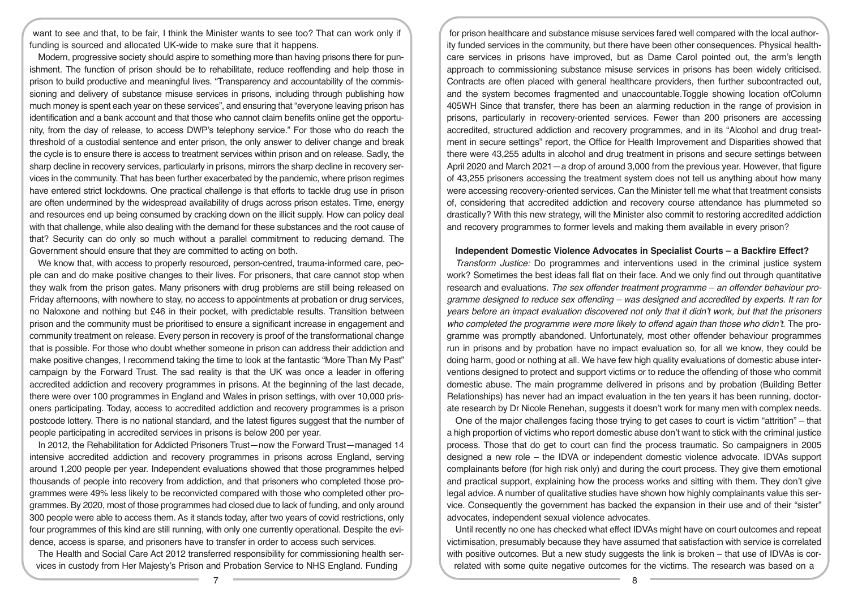want to see and that, to be fair, I think the Minister wants to see too? That can work only if funding is sourced and allocated UK-wide to make sure that it happens.

Modern, progressive society should aspire to something more than having prisons there for punishment. The function of prison should be to rehabilitate, reduce reoffending and help those in prison to build productive and meaningful lives. "Transparency and accountability of the commissioning and delivery of substance misuse services in prisons, including through publishing how much money is spent each year on these services", and ensuring that "everyone leaving prison has identification and a bank account and that those who cannot claim benefits online get the opportunity, from the day of release, to access DWP's telephony service." For those who do reach the threshold of a custodial sentence and enter prison, the only answer to deliver change and break the cycle is to ensure there is access to treatment services within prison and on release. Sadly, the sharp decline in recovery services, particularly in prisons, mirrors the sharp decline in recovery services in the community. That has been further exacerbated by the pandemic, where prison regimes have entered strict lockdowns. One practical challenge is that efforts to tackle drug use in prison are often undermined by the widespread availability of drugs across prison estates. Time, energy and resources end up being consumed by cracking down on the illicit supply. How can policy deal with that challenge, while also dealing with the demand for these substances and the root cause of that? Security can do only so much without a parallel commitment to reducing demand. The Government should ensure that they are committed to acting on both.

We know that, with access to properly resourced, person-centred, trauma-informed care, people can and do make positive changes to their lives. For prisoners, that care cannot stop when they walk from the prison gates. Many prisoners with drug problems are still being released on Friday afternoons, with nowhere to stay, no access to appointments at probation or drug services, no Naloxone and nothing but £46 in their pocket, with predictable results. Transition between prison and the community must be prioritised to ensure a significant increase in engagement and community treatment on release. Every person in recovery is proof of the transformational change that is possible. For those who doubt whether someone in prison can address their addiction and make positive changes, I recommend taking the time to look at the fantastic "More Than My Past" campaign by the Forward Trust. The sad reality is that the UK was once a leader in offering accredited addiction and recovery programmes in prisons. At the beginning of the last decade, there were over 100 programmes in England and Wales in prison settings, with over 10,000 prisoners participating. Today, access to accredited addiction and recovery programmes is a prison postcode lottery. There is no national standard, and the latest figures suggest that the number of people participating in accredited services in prisons is below 200 per year.

In 2012, the Rehabilitation for Addicted Prisoners Trust—now the Forward Trust—managed 14 intensive accredited addiction and recovery programmes in prisons across England, serving around 1,200 people per year. Independent evaluations showed that those programmes helped thousands of people into recovery from addiction, and that prisoners who completed those programmes were 49% less likely to be reconvicted compared with those who completed other programmes. By 2020, most of those programmes had closed due to lack of funding, and only around 300 people were able to access them. As it stands today, after two years of covid restrictions, only four programmes of this kind are still running, with only one currently operational. Despite the evidence, access is sparse, and prisoners have to transfer in order to access such services.

The Health and Social Care Act 2012 transferred responsibility for commissioning health services in custody from Her Majesty's Prison and Probation Service to NHS England. Funding

for prison healthcare and substance misuse services fared well compared with the local authority funded services in the community, but there have been other consequences. Physical healthcare services in prisons have improved, but as Dame Carol pointed out, the arm's length approach to commissioning substance misuse services in prisons has been widely criticised. Contracts are often placed with general healthcare providers, then further subcontracted out, and the system becomes fragmented and unaccountable.Toggle showing location ofColumn 405WH Since that transfer, there has been an alarming reduction in the range of provision in prisons, particularly in recovery-oriented services. Fewer than 200 prisoners are accessing accredited, structured addiction and recovery programmes, and in its "Alcohol and drug treatment in secure settings" report, the Office for Health Improvement and Disparities showed that there were 43,255 adults in alcohol and drug treatment in prisons and secure settings between April 2020 and March 2021—a drop of around 3,000 from the previous year. However, that figure of 43,255 prisoners accessing the treatment system does not tell us anything about how many were accessing recovery-oriented services. Can the Minister tell me what that treatment consists of, considering that accredited addiction and recovery course attendance has plummeted so drastically? With this new strategy, will the Minister also commit to restoring accredited addiction and recovery programmes to former levels and making them available in every prison?

#### **Independent Domestic Violence Advocates in Specialist Courts – a Backfire Effect?**

*Transform Justice:* Do programmes and interventions used in the criminal justice system work? Sometimes the best ideas fall flat on their face. And we only find out through quantitative research and evaluations. *The sex offender treatment programme – an offender behaviour programme designed to reduce sex offending – was designed and accredited by experts. It ran for years before an impact evaluation discovered not only that it didn't work, but that the prisoners*  who completed the programme were more likely to offend again than those who didn't. The programme was promptly abandoned. Unfortunately, most other offender behaviour programmes run in prisons and by probation have no impact evaluation so, for all we know, they could be doing harm, good or nothing at all. We have few high quality evaluations of domestic abuse interventions designed to protect and support victims or to reduce the offending of those who commit domestic abuse. The main programme delivered in prisons and by probation (Building Better Relationships) has never had an impact evaluation in the ten years it has been running, doctorate research by Dr Nicole Renehan, suggests it doesn't work for many men with complex needs.

One of the major challenges facing those trying to get cases to court is victim "attrition" – that a high proportion of victims who report domestic abuse don't want to stick with the criminal justice process. Those that do get to court can find the process traumatic. So campaigners in 2005 designed a new role – the IDVA or independent domestic violence advocate. IDVAs support complainants before (for high risk only) and during the court process. They give them emotional and practical support, explaining how the process works and sitting with them. They don't give legal advice. A number of qualitative studies have shown how highly complainants value this service. Consequently the government has backed the expansion in their use and of their "sister" advocates, independent sexual violence advocates.

Until recently no one has checked what effect IDVAs might have on court outcomes and repeat victimisation, presumably because they have assumed that satisfaction with service is correlated with positive outcomes. But a new study suggests the link is broken – that use of IDVAs is correlated with some quite negative outcomes for the victims. The research was based on a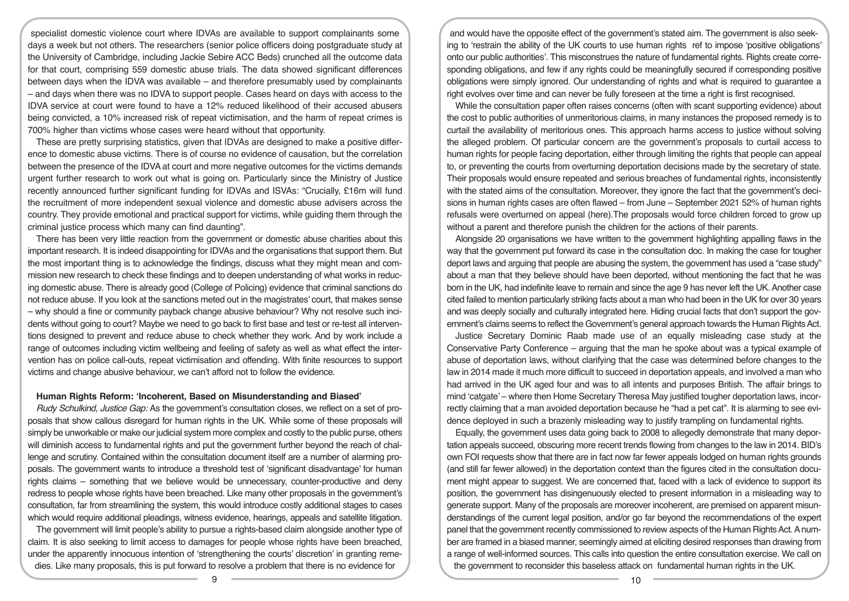specialist domestic violence court where IDVAs are available to support complainants some days a week but not others. The researchers (senior police officers doing postgraduate study at the University of Cambridge, including Jackie Sebire ACC Beds) crunched all the outcome data for that court, comprising 559 domestic abuse trials. The data showed significant differences between days when the IDVA was available – and therefore presumably used by complainants – and days when there was no IDVA to support people. Cases heard on days with access to the IDVA service at court were found to have a 12% reduced likelihood of their accused abusers being convicted, a 10% increased risk of repeat victimisation, and the harm of repeat crimes is 700% higher than victims whose cases were heard without that opportunity.

These are pretty surprising statistics, given that IDVAs are designed to make a positive difference to domestic abuse victims. There is of course no evidence of causation, but the correlation between the presence of the IDVA at court and more negative outcomes for the victims demands urgent further research to work out what is going on. Particularly since the Ministry of Justice recently announced further significant funding for IDVAs and ISVAs: "Crucially, £16m will fund the recruitment of more independent sexual violence and domestic abuse advisers across the country. They provide emotional and practical support for victims, while guiding them through the criminal justice process which many can find daunting".

There has been very little reaction from the government or domestic abuse charities about this important research. It is indeed disappointing for IDVAs and the organisations that support them. But the most important thing is to acknowledge the findings, discuss what they might mean and commission new research to check these findings and to deepen understanding of what works in reducing domestic abuse. There is already good (College of Policing) evidence that criminal sanctions do not reduce abuse. If you look at the sanctions meted out in the magistrates' court, that makes sense – why should a fine or community payback change abusive behaviour? Why not resolve such incidents without going to court? Maybe we need to go back to first base and test or re-test all interventions designed to prevent and reduce abuse to check whether they work. And by work include a range of outcomes including victim wellbeing and feeling of safety as well as what effect the intervention has on police call-outs, repeat victimisation and offending. With finite resources to support victims and change abusive behaviour, we can't afford not to follow the evidence.

#### **Human Rights Reform: 'Incoherent, Based on Misunderstanding and Biased'**

*Rudy Schulkind, Justice Gap:* As the government's consultation closes, we reflect on a set of proposals that show callous disregard for human rights in the UK. While some of these proposals will simply be unworkable or make our judicial system more complex and costly to the public purse, others will diminish access to fundamental rights and put the government further beyond the reach of challenge and scrutiny. Contained within the consultation document itself are a number of alarming proposals. The government wants to introduce a threshold test of 'significant disadvantage' for human rights claims – something that we believe would be unnecessary, counter-productive and deny redress to people whose rights have been breached. Like many other proposals in the government's consultation, far from streamlining the system, this would introduce costly additional stages to cases which would require additional pleadings, witness evidence, hearings, appeals and satellite litigation.

The government will limit people's ability to pursue a rights-based claim alongside another type of claim. It is also seeking to limit access to damages for people whose rights have been breached, under the apparently innocuous intention of 'strengthening the courts' discretion' in granting remedies. Like many proposals, this is put forward to resolve a problem that there is no evidence for

and would have the opposite effect of the government's stated aim. The government is also seeking to 'restrain the ability of the UK courts to use human rights ref to impose 'positive obligations' onto our public authorities'. This misconstrues the nature of fundamental rights. Rights create corresponding obligations, and few if any rights could be meaningfully secured if corresponding positive obligations were simply ignored. Our understanding of rights and what is required to guarantee a right evolves over time and can never be fully foreseen at the time a right is first recognised.

While the consultation paper often raises concerns (often with scant supporting evidence) about the cost to public authorities of unmeritorious claims, in many instances the proposed remedy is to curtail the availability of meritorious ones. This approach harms access to justice without solving the alleged problem. Of particular concern are the government's proposals to curtail access to human rights for people facing deportation, either through limiting the rights that people can appeal to, or preventing the courts from overturning deportation decisions made by the secretary of state. Their proposals would ensure repeated and serious breaches of fundamental rights, inconsistently with the stated aims of the consultation. Moreover, they ignore the fact that the government's decisions in human rights cases are often flawed – from June – September 2021 52% of human rights refusals were overturned on appeal (here).The proposals would force children forced to grow up without a parent and therefore punish the children for the actions of their parents.

Alongside 20 organisations we have written to the government highlighting appalling flaws in the way that the government put forward its case in the consultation doc. In making the case for tougher deport laws and arguing that people are abusing the system, the government has used a "case study" about a man that they believe should have been deported, without mentioning the fact that he was born in the UK, had indefinite leave to remain and since the age 9 has never left the UK. Another case cited failed to mention particularly striking facts about a man who had been in the UK for over 30 years and was deeply socially and culturally integrated here. Hiding crucial facts that don't support the government's claims seems to reflect the Government's general approach towards the Human Rights Act.

Justice Secretary Dominic Raab made use of an equally misleading case study at the Conservative Party Conference – arguing that the man he spoke about was a typical example of abuse of deportation laws, without clarifying that the case was determined before changes to the law in 2014 made it much more difficult to succeed in deportation appeals, and involved a man who had arrived in the UK aged four and was to all intents and purposes British. The affair brings to mind 'catgate' – where then Home Secretary Theresa May justified tougher deportation laws, incorrectly claiming that a man avoided deportation because he "had a pet cat". It is alarming to see evidence deployed in such a brazenly misleading way to justify trampling on fundamental rights.

Equally, the government uses data going back to 2008 to allegedly demonstrate that many deportation appeals succeed, obscuring more recent trends flowing from changes to the law in 2014. BID's own FOI requests show that there are in fact now far fewer appeals lodged on human rights grounds (and still far fewer allowed) in the deportation context than the figures cited in the consultation document might appear to suggest. We are concerned that, faced with a lack of evidence to support its position, the government has disingenuously elected to present information in a misleading way to generate support. Many of the proposals are moreover incoherent, are premised on apparent misunderstandings of the current legal position, and/or go far beyond the recommendations of the expert panel that the government recently commissioned to review aspects of the Human Rights Act. A number are framed in a biased manner, seemingly aimed at eliciting desired responses than drawing from a range of well-informed sources. This calls into question the entire consultation exercise. We call on the government to reconsider this baseless attack on fundamental human rights in the UK.